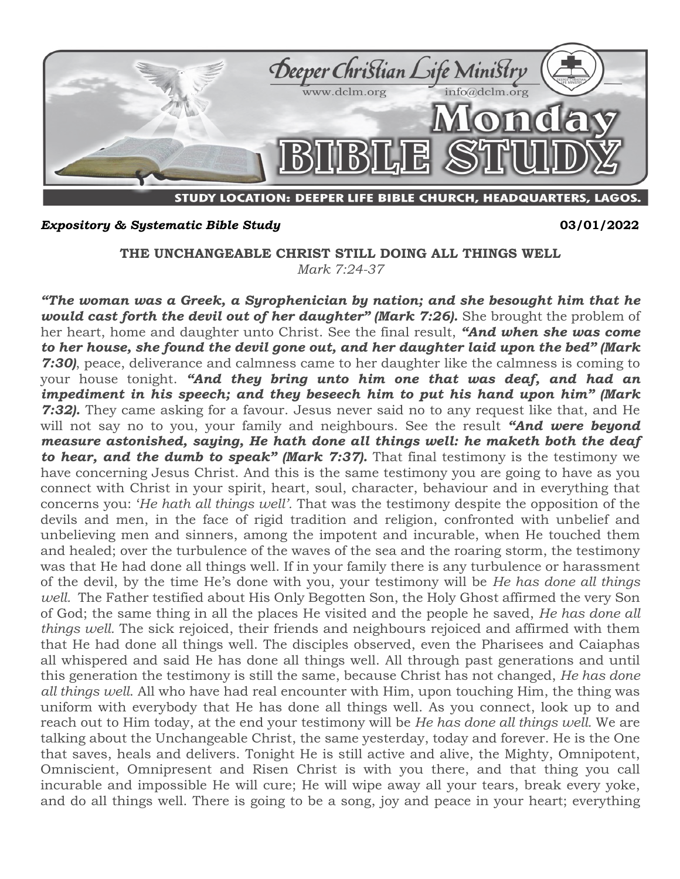

## *Expository & Systematic Bible Study* **03/01/2022**

**THE UNCHANGEABLE CHRIST STILL DOING ALL THINGS WELL** *Mark 7:24-37*

*"The woman was a Greek, a Syrophenician by nation; and she besought him that he*  would cast forth the devil out of her daughter" (Mark 7:26). She brought the problem of her heart, home and daughter unto Christ. See the final result, *"And when she was come to her house, she found the devil gone out, and her daughter laid upon the bed" (Mark 7:30)*, peace, deliverance and calmness came to her daughter like the calmness is coming to your house tonight. *"And they bring unto him one that was deaf, and had an impediment in his speech; and they beseech him to put his hand upon him" (Mark 7:32).* They came asking for a favour. Jesus never said no to any request like that, and He will not say no to you, your family and neighbours. See the result *"And were beyond measure astonished, saying, He hath done all things well: he maketh both the deaf to hear, and the dumb to speak" (Mark 7:37).* That final testimony is the testimony we have concerning Jesus Christ. And this is the same testimony you are going to have as you connect with Christ in your spirit, heart, soul, character, behaviour and in everything that concerns you: '*He hath all things well'.* That was the testimony despite the opposition of the devils and men, in the face of rigid tradition and religion, confronted with unbelief and unbelieving men and sinners, among the impotent and incurable, when He touched them and healed; over the turbulence of the waves of the sea and the roaring storm, the testimony was that He had done all things well. If in your family there is any turbulence or harassment of the devil, by the time He's done with you, your testimony will be *He has done all things well.* The Father testified about His Only Begotten Son, the Holy Ghost affirmed the very Son of God; the same thing in all the places He visited and the people he saved, *He has done all things well.* The sick rejoiced, their friends and neighbours rejoiced and affirmed with them that He had done all things well. The disciples observed, even the Pharisees and Caiaphas all whispered and said He has done all things well. All through past generations and until this generation the testimony is still the same, because Christ has not changed, *He has done all things well*. All who have had real encounter with Him, upon touching Him, the thing was uniform with everybody that He has done all things well. As you connect, look up to and reach out to Him today, at the end your testimony will be *He has done all things well.* We are talking about the Unchangeable Christ, the same yesterday, today and forever. He is the One that saves, heals and delivers. Tonight He is still active and alive, the Mighty, Omnipotent, Omniscient, Omnipresent and Risen Christ is with you there, and that thing you call incurable and impossible He will cure; He will wipe away all your tears, break every yoke, and do all things well. There is going to be a song, joy and peace in your heart; everything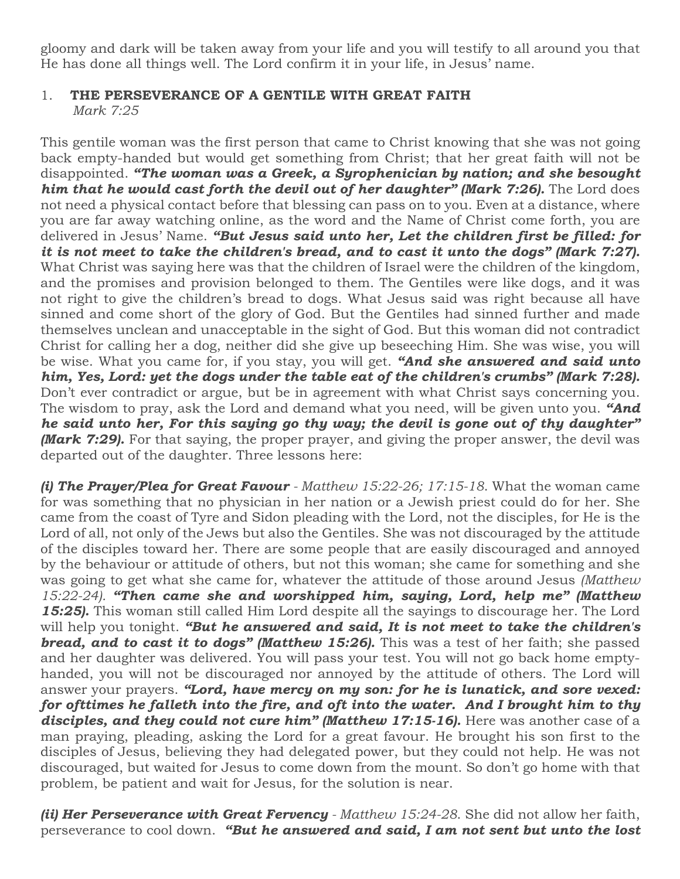gloomy and dark will be taken away from your life and you will testify to all around you that He has done all things well. The Lord confirm it in your life, in Jesus' name.

## 1. **THE PERSEVERANCE OF A GENTILE WITH GREAT FAITH**  *Mark 7:25*

This gentile woman was the first person that came to Christ knowing that she was not going back empty-handed but would get something from Christ; that her great faith will not be disappointed. *"The woman was a Greek, a Syrophenician by nation; and she besought him that he would cast forth the devil out of her daughter" (Mark 7:26).* **The Lord does** not need a physical contact before that blessing can pass on to you. Even at a distance, where you are far away watching online, as the word and the Name of Christ come forth, you are delivered in Jesus' Name. *"But Jesus said unto her, Let the children first be filled: for it is not meet to take the children's bread, and to cast it unto the dogs" (Mark 7:27).*  What Christ was saying here was that the children of Israel were the children of the kingdom, and the promises and provision belonged to them. The Gentiles were like dogs, and it was not right to give the children's bread to dogs. What Jesus said was right because all have sinned and come short of the glory of God. But the Gentiles had sinned further and made themselves unclean and unacceptable in the sight of God. But this woman did not contradict Christ for calling her a dog, neither did she give up beseeching Him. She was wise, you will be wise. What you came for, if you stay, you will get. *"And she answered and said unto him, Yes, Lord: yet the dogs under the table eat of the children's crumbs" (Mark 7:28).*  Don't ever contradict or argue, but be in agreement with what Christ says concerning you. The wisdom to pray, ask the Lord and demand what you need, will be given unto you. *"And he said unto her, For this saying go thy way; the devil is gone out of thy daughter" (Mark 7:29).* For that saying, the proper prayer, and giving the proper answer, the devil was departed out of the daughter. Three lessons here:

*(i) The Prayer/Plea for Great Favour - Matthew 15:22-26; 17:15-18*. What the woman came for was something that no physician in her nation or a Jewish priest could do for her. She came from the coast of Tyre and Sidon pleading with the Lord, not the disciples, for He is the Lord of all, not only of the Jews but also the Gentiles. She was not discouraged by the attitude of the disciples toward her. There are some people that are easily discouraged and annoyed by the behaviour or attitude of others, but not this woman; she came for something and she was going to get what she came for, whatever the attitude of those around Jesus *(Matthew 15:22-24). "Then came she and worshipped him, saying, Lord, help me" (Matthew 15:25).* This woman still called Him Lord despite all the sayings to discourage her. The Lord will help you tonight. *"But he answered and said, It is not meet to take the children's*  **bread, and to cast it to dogs" (Matthew 15:26).** This was a test of her faith; she passed and her daughter was delivered. You will pass your test. You will not go back home emptyhanded, you will not be discouraged nor annoyed by the attitude of others. The Lord will answer your prayers. *"Lord, have mercy on my son: for he is lunatick, and sore vexed: for ofttimes he falleth into the fire, and oft into the water. And I brought him to thy*  disciples, and they could not cure him" (Matthew 17:15-16). Here was another case of a man praying, pleading, asking the Lord for a great favour. He brought his son first to the disciples of Jesus, believing they had delegated power, but they could not help. He was not discouraged, but waited for Jesus to come down from the mount. So don't go home with that problem, be patient and wait for Jesus, for the solution is near.

*(ii) Her Perseverance with Great Fervency - Matthew 15:24-28*. She did not allow her faith, perseverance to cool down. *"But he answered and said, I am not sent but unto the lost*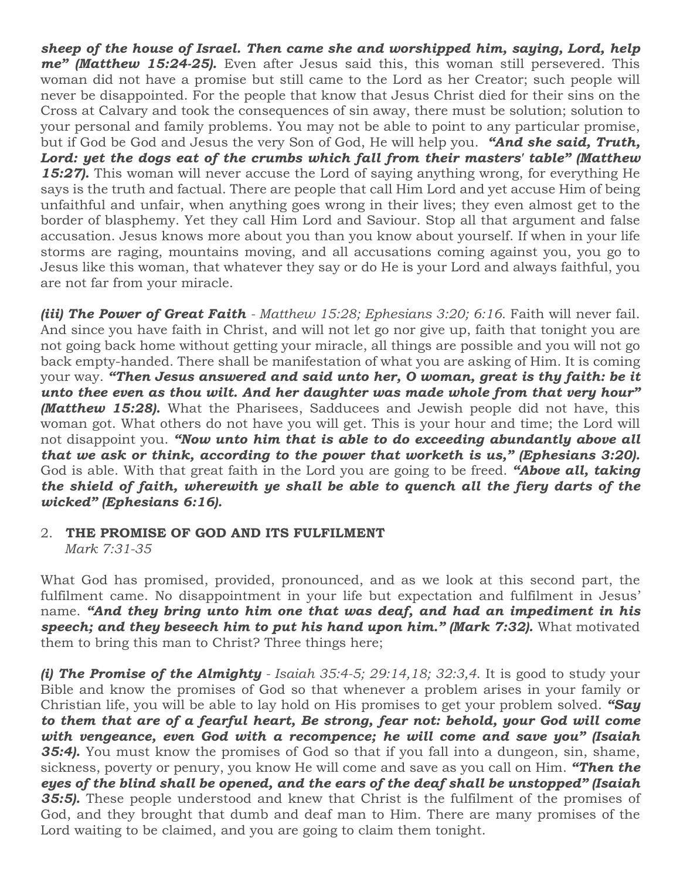*sheep of the house of Israel. Then came she and worshipped him, saying, Lord, help me" (Matthew 15:24-25).* Even after Jesus said this, this woman still persevered. This woman did not have a promise but still came to the Lord as her Creator; such people will never be disappointed. For the people that know that Jesus Christ died for their sins on the Cross at Calvary and took the consequences of sin away, there must be solution; solution to your personal and family problems. You may not be able to point to any particular promise, but if God be God and Jesus the very Son of God, He will help you. *"And she said, Truth, Lord: yet the dogs eat of the crumbs which fall from their masters' table" (Matthew 15:27).* This woman will never accuse the Lord of saying anything wrong, for everything He says is the truth and factual. There are people that call Him Lord and yet accuse Him of being unfaithful and unfair, when anything goes wrong in their lives; they even almost get to the border of blasphemy. Yet they call Him Lord and Saviour. Stop all that argument and false accusation. Jesus knows more about you than you know about yourself. If when in your life storms are raging, mountains moving, and all accusations coming against you, you go to Jesus like this woman, that whatever they say or do He is your Lord and always faithful, you are not far from your miracle.

*(iii) The Power of Great Faith - Matthew 15:28; Ephesians 3:20; 6:16.* Faith will never fail. And since you have faith in Christ, and will not let go nor give up, faith that tonight you are not going back home without getting your miracle, all things are possible and you will not go back empty-handed. There shall be manifestation of what you are asking of Him. It is coming your way. *"Then Jesus answered and said unto her, O woman, great is thy faith: be it unto thee even as thou wilt. And her daughter was made whole from that very hour" (Matthew 15:28).* What the Pharisees, Sadducees and Jewish people did not have, this woman got. What others do not have you will get. This is your hour and time; the Lord will not disappoint you. *"Now unto him that is able to do exceeding abundantly above all that we ask or think, according to the power that worketh is us," (Ephesians 3:20).* God is able. With that great faith in the Lord you are going to be freed. *"Above all, taking the shield of faith, wherewith ye shall be able to quench all the fiery darts of the wicked" (Ephesians 6:16).*

## 2. **THE PROMISE OF GOD AND ITS FULFILMENT**  *Mark 7:31-35*

What God has promised, provided, pronounced, and as we look at this second part, the fulfilment came. No disappointment in your life but expectation and fulfilment in Jesus' name. *"And they bring unto him one that was deaf, and had an impediment in his speech; and they beseech him to put his hand upon him." (Mark 7:32).* What motivated them to bring this man to Christ? Three things here;

*(i) The Promise of the Almighty - Isaiah 35:4-5; 29:14,18; 32:3,4*. It is good to study your Bible and know the promises of God so that whenever a problem arises in your family or Christian life, you will be able to lay hold on His promises to get your problem solved. *"Say to them that are of a fearful heart, Be strong, fear not: behold, your God will come with vengeance, even God with a recompence; he will come and save you" (Isaiah*  **35:4).** You must know the promises of God so that if you fall into a dungeon, sin, shame, sickness, poverty or penury, you know He will come and save as you call on Him. *"Then the eyes of the blind shall be opened, and the ears of the deaf shall be unstopped" (Isaiah 35:5).* These people understood and knew that Christ is the fulfilment of the promises of God, and they brought that dumb and deaf man to Him. There are many promises of the Lord waiting to be claimed, and you are going to claim them tonight.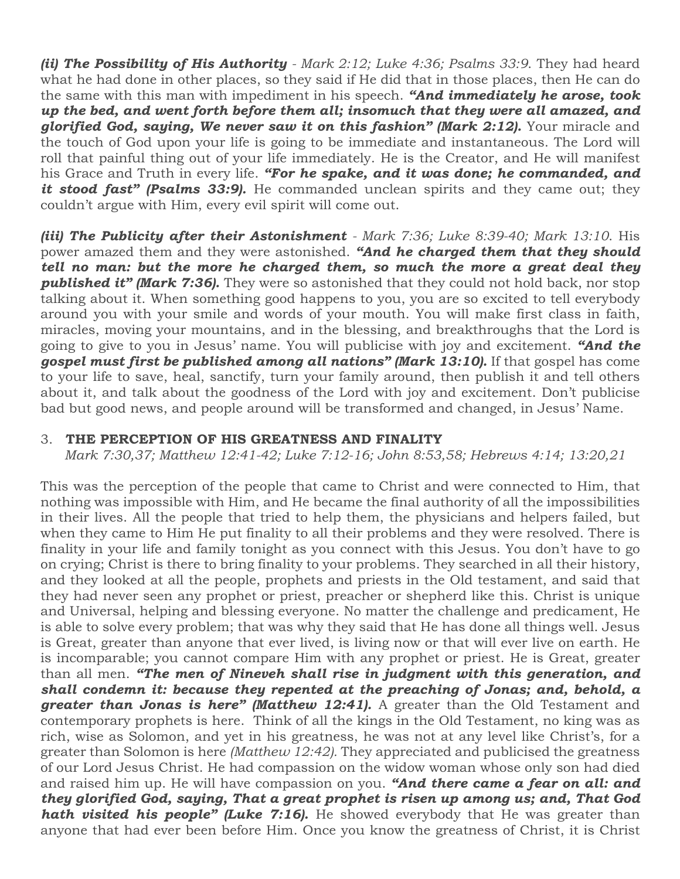*(ii) The Possibility of His Authority - Mark 2:12; Luke 4:36; Psalms 33:9*. They had heard what he had done in other places, so they said if He did that in those places, then He can do the same with this man with impediment in his speech. *"And immediately he arose, took up the bed, and went forth before them all; insomuch that they were all amazed, and glorified God, saying, We never saw it on this fashion" (Mark 2:12).* Your miracle and the touch of God upon your life is going to be immediate and instantaneous. The Lord will roll that painful thing out of your life immediately. He is the Creator, and He will manifest his Grace and Truth in every life. *"For he spake, and it was done; he commanded, and*  it stood fast" (Psalms 33:9). He commanded unclean spirits and they came out; they couldn't argue with Him, every evil spirit will come out.

*(iii) The Publicity after their Astonishment - Mark 7:36; Luke 8:39-40; Mark 13:10*. His power amazed them and they were astonished. *"And he charged them that they should tell no man: but the more he charged them, so much the more a great deal they published it" (Mark 7:36).* They were so astonished that they could not hold back, nor stop talking about it. When something good happens to you, you are so excited to tell everybody around you with your smile and words of your mouth. You will make first class in faith, miracles, moving your mountains, and in the blessing, and breakthroughs that the Lord is going to give to you in Jesus' name. You will publicise with joy and excitement. *"And the gospel must first be published among all nations" (Mark 13:10).* If that gospel has come to your life to save, heal, sanctify, turn your family around, then publish it and tell others about it, and talk about the goodness of the Lord with joy and excitement. Don't publicise bad but good news, and people around will be transformed and changed, in Jesus' Name.

## 3. **THE PERCEPTION OF HIS GREATNESS AND FINALITY**

 *Mark 7:30,37; Matthew 12:41-42; Luke 7:12-16; John 8:53,58; Hebrews 4:14; 13:20,21*

This was the perception of the people that came to Christ and were connected to Him, that nothing was impossible with Him, and He became the final authority of all the impossibilities in their lives. All the people that tried to help them, the physicians and helpers failed, but when they came to Him He put finality to all their problems and they were resolved. There is finality in your life and family tonight as you connect with this Jesus. You don't have to go on crying; Christ is there to bring finality to your problems. They searched in all their history, and they looked at all the people, prophets and priests in the Old testament, and said that they had never seen any prophet or priest, preacher or shepherd like this. Christ is unique and Universal, helping and blessing everyone. No matter the challenge and predicament, He is able to solve every problem; that was why they said that He has done all things well. Jesus is Great, greater than anyone that ever lived, is living now or that will ever live on earth. He is incomparable; you cannot compare Him with any prophet or priest. He is Great, greater than all men. *"The men of Nineveh shall rise in judgment with this generation, and shall condemn it: because they repented at the preaching of Jonas; and, behold, a greater than Jonas is here" (Matthew 12:41).* A greater than the Old Testament and contemporary prophets is here. Think of all the kings in the Old Testament, no king was as rich, wise as Solomon, and yet in his greatness, he was not at any level like Christ's, for a greater than Solomon is here *(Matthew 12:42).* They appreciated and publicised the greatness of our Lord Jesus Christ. He had compassion on the widow woman whose only son had died and raised him up. He will have compassion on you. *"And there came a fear on all: and they glorified God, saying, That a great prophet is risen up among us; and, That God hath visited his people" (Luke 7:16).* He showed everybody that He was greater than anyone that had ever been before Him. Once you know the greatness of Christ, it is Christ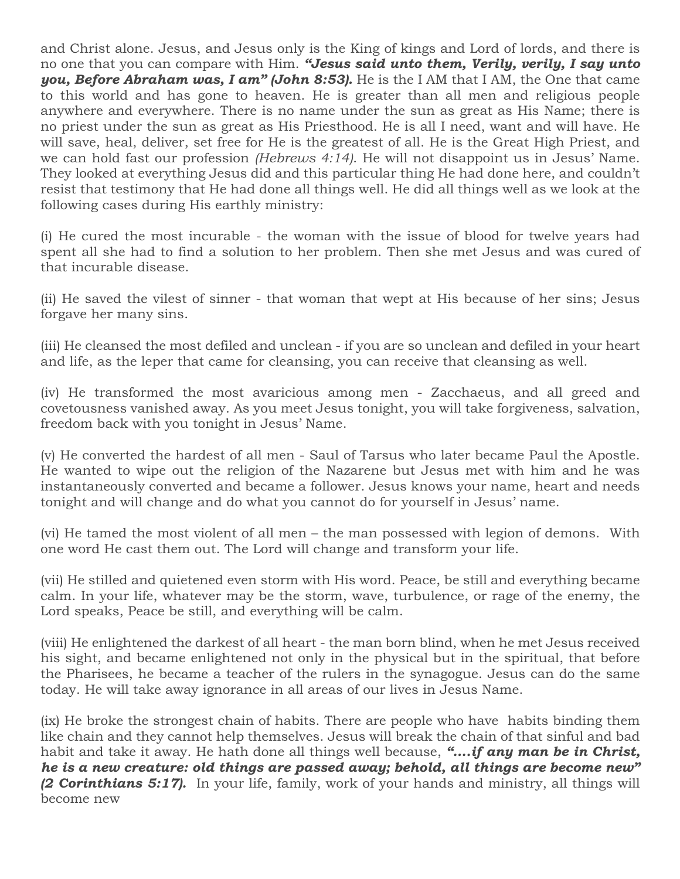and Christ alone. Jesus, and Jesus only is the King of kings and Lord of lords, and there is no one that you can compare with Him. *"Jesus said unto them, Verily, verily, I say unto you, Before Abraham was, I am" (John 8:53).* He is the I AM that I AM, the One that came to this world and has gone to heaven. He is greater than all men and religious people anywhere and everywhere. There is no name under the sun as great as His Name; there is no priest under the sun as great as His Priesthood. He is all I need, want and will have. He will save, heal, deliver, set free for He is the greatest of all. He is the Great High Priest, and we can hold fast our profession *(Hebrews 4:14)*. He will not disappoint us in Jesus' Name. They looked at everything Jesus did and this particular thing He had done here, and couldn't resist that testimony that He had done all things well. He did all things well as we look at the following cases during His earthly ministry:

(i) He cured the most incurable - the woman with the issue of blood for twelve years had spent all she had to find a solution to her problem. Then she met Jesus and was cured of that incurable disease.

(ii) He saved the vilest of sinner - that woman that wept at His because of her sins; Jesus forgave her many sins.

(iii) He cleansed the most defiled and unclean - if you are so unclean and defiled in your heart and life, as the leper that came for cleansing, you can receive that cleansing as well.

(iv) He transformed the most avaricious among men - Zacchaeus, and all greed and covetousness vanished away. As you meet Jesus tonight, you will take forgiveness, salvation, freedom back with you tonight in Jesus' Name.

(v) He converted the hardest of all men - Saul of Tarsus who later became Paul the Apostle. He wanted to wipe out the religion of the Nazarene but Jesus met with him and he was instantaneously converted and became a follower. Jesus knows your name, heart and needs tonight and will change and do what you cannot do for yourself in Jesus' name.

(vi) He tamed the most violent of all men – the man possessed with legion of demons. With one word He cast them out. The Lord will change and transform your life.

(vii) He stilled and quietened even storm with His word. Peace, be still and everything became calm. In your life, whatever may be the storm, wave, turbulence, or rage of the enemy, the Lord speaks, Peace be still, and everything will be calm.

(viii) He enlightened the darkest of all heart - the man born blind, when he met Jesus received his sight, and became enlightened not only in the physical but in the spiritual, that before the Pharisees, he became a teacher of the rulers in the synagogue. Jesus can do the same today. He will take away ignorance in all areas of our lives in Jesus Name.

(ix) He broke the strongest chain of habits. There are people who have habits binding them like chain and they cannot help themselves. Jesus will break the chain of that sinful and bad habit and take it away. He hath done all things well because, *"….if any man be in Christ, he is a new creature: old things are passed away; behold, all things are become new" (2 Corinthians 5:17).* In your life, family, work of your hands and ministry, all things will become new